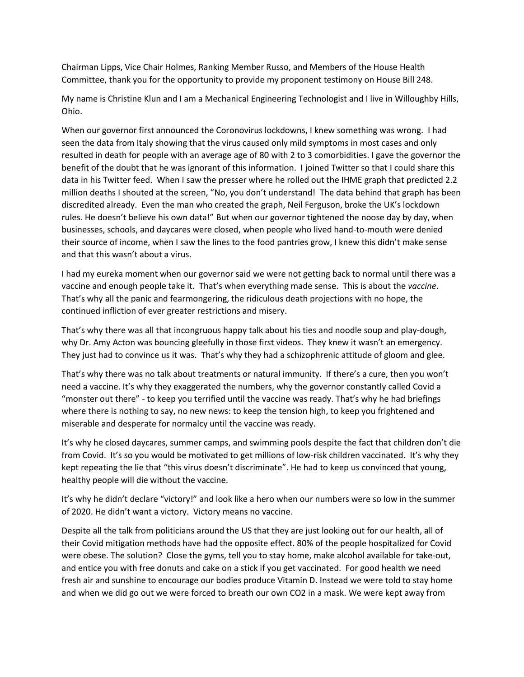Chairman Lipps, Vice Chair Holmes, Ranking Member Russo, and Members of the House Health Committee, thank you for the opportunity to provide my proponent testimony on House Bill 248.

My name is Christine Klun and I am a Mechanical Engineering Technologist and I live in Willoughby Hills, Ohio.

When our governor first announced the Coronovirus lockdowns, I knew something was wrong. I had seen the data from Italy showing that the virus caused only mild symptoms in most cases and only resulted in death for people with an average age of 80 with 2 to 3 comorbidities. I gave the governor the benefit of the doubt that he was ignorant of this information. I joined Twitter so that I could share this data in his Twitter feed. When I saw the presser where he rolled out the IHME graph that predicted 2.2 million deaths I shouted at the screen, "No, you don't understand! The data behind that graph has been discredited already. Even the man who created the graph, Neil Ferguson, broke the UK's lockdown rules. He doesn't believe his own data!" But when our governor tightened the noose day by day, when businesses, schools, and daycares were closed, when people who lived hand-to-mouth were denied their source of income, when I saw the lines to the food pantries grow, I knew this didn't make sense and that this wasn't about a virus.

I had my eureka moment when our governor said we were not getting back to normal until there was a vaccine and enough people take it. That's when everything made sense. This is about the *vaccine*. That's why all the panic and fearmongering, the ridiculous death projections with no hope, the continued infliction of ever greater restrictions and misery.

That's why there was all that incongruous happy talk about his ties and noodle soup and play-dough, why Dr. Amy Acton was bouncing gleefully in those first videos. They knew it wasn't an emergency. They just had to convince us it was. That's why they had a schizophrenic attitude of gloom and glee.

That's why there was no talk about treatments or natural immunity. If there's a cure, then you won't need a vaccine. It's why they exaggerated the numbers, why the governor constantly called Covid a "monster out there" - to keep you terrified until the vaccine was ready. That's why he had briefings where there is nothing to say, no new news: to keep the tension high, to keep you frightened and miserable and desperate for normalcy until the vaccine was ready.

It's why he closed daycares, summer camps, and swimming pools despite the fact that children don't die from Covid. It's so you would be motivated to get millions of low-risk children vaccinated. It's why they kept repeating the lie that "this virus doesn't discriminate". He had to keep us convinced that young, healthy people will die without the vaccine.

It's why he didn't declare "victory!" and look like a hero when our numbers were so low in the summer of 2020. He didn't want a victory. Victory means no vaccine.

Despite all the talk from politicians around the US that they are just looking out for our health, all of their Covid mitigation methods have had the opposite effect. 80% of the people hospitalized for Covid were obese. The solution? Close the gyms, tell you to stay home, make alcohol available for take-out, and entice you with free donuts and cake on a stick if you get vaccinated. For good health we need fresh air and sunshine to encourage our bodies produce Vitamin D. Instead we were told to stay home and when we did go out we were forced to breath our own CO2 in a mask. We were kept away from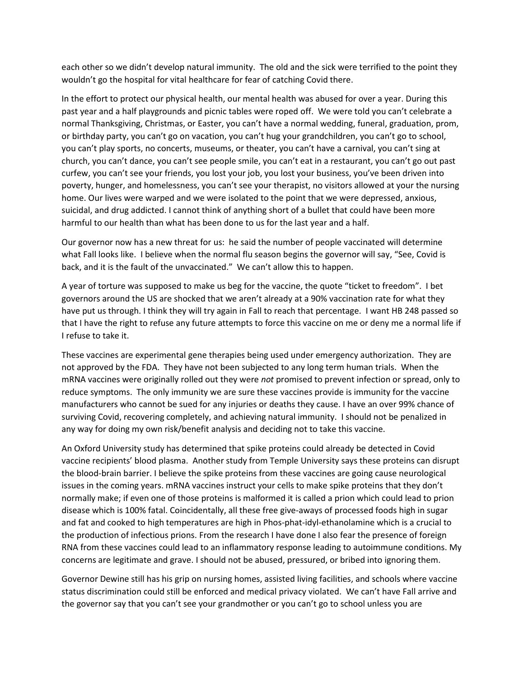each other so we didn't develop natural immunity. The old and the sick were terrified to the point they wouldn't go the hospital for vital healthcare for fear of catching Covid there.

In the effort to protect our physical health, our mental health was abused for over a year. During this past year and a half playgrounds and picnic tables were roped off. We were told you can't celebrate a normal Thanksgiving, Christmas, or Easter, you can't have a normal wedding, funeral, graduation, prom, or birthday party, you can't go on vacation, you can't hug your grandchildren, you can't go to school, you can't play sports, no concerts, museums, or theater, you can't have a carnival, you can't sing at church, you can't dance, you can't see people smile, you can't eat in a restaurant, you can't go out past curfew, you can't see your friends, you lost your job, you lost your business, you've been driven into poverty, hunger, and homelessness, you can't see your therapist, no visitors allowed at your the nursing home. Our lives were warped and we were isolated to the point that we were depressed, anxious, suicidal, and drug addicted. I cannot think of anything short of a bullet that could have been more harmful to our health than what has been done to us for the last year and a half.

Our governor now has a new threat for us: he said the number of people vaccinated will determine what Fall looks like. I believe when the normal flu season begins the governor will say, "See, Covid is back, and it is the fault of the unvaccinated." We can't allow this to happen.

A year of torture was supposed to make us beg for the vaccine, the quote "ticket to freedom". I bet governors around the US are shocked that we aren't already at a 90% vaccination rate for what they have put us through. I think they will try again in Fall to reach that percentage. I want HB 248 passed so that I have the right to refuse any future attempts to force this vaccine on me or deny me a normal life if I refuse to take it.

These vaccines are experimental gene therapies being used under emergency authorization. They are not approved by the FDA. They have not been subjected to any long term human trials. When the mRNA vaccines were originally rolled out they were *not* promised to prevent infection or spread, only to reduce symptoms. The only immunity we are sure these vaccines provide is immunity for the vaccine manufacturers who cannot be sued for any injuries or deaths they cause. I have an over 99% chance of surviving Covid, recovering completely, and achieving natural immunity. I should not be penalized in any way for doing my own risk/benefit analysis and deciding not to take this vaccine.

An Oxford University study has determined that spike proteins could already be detected in Covid vaccine recipients' blood plasma. Another study from Temple University says these proteins can disrupt the blood-brain barrier. I believe the spike proteins from these vaccines are going cause neurological issues in the coming years. mRNA vaccines instruct your cells to make spike proteins that they don't normally make; if even one of those proteins is malformed it is called a prion which could lead to prion disease which is 100% fatal. Coincidentally, all these free give-aways of processed foods high in sugar and fat and cooked to high temperatures are high in Phos-phat-idyl-ethanolamine which is a crucial to the production of infectious prions. From the research I have done I also fear the presence of foreign RNA from these vaccines could lead to an inflammatory response leading to autoimmune conditions. My concerns are legitimate and grave. I should not be abused, pressured, or bribed into ignoring them.

Governor Dewine still has his grip on nursing homes, assisted living facilities, and schools where vaccine status discrimination could still be enforced and medical privacy violated. We can't have Fall arrive and the governor say that you can't see your grandmother or you can't go to school unless you are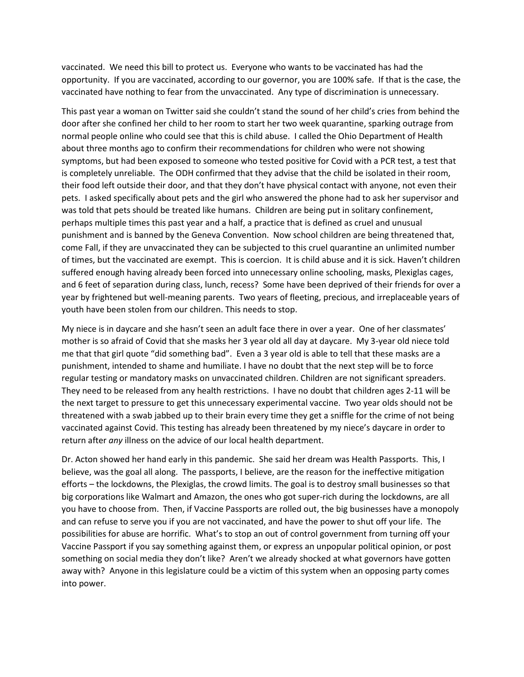vaccinated. We need this bill to protect us. Everyone who wants to be vaccinated has had the opportunity. If you are vaccinated, according to our governor, you are 100% safe. If that is the case, the vaccinated have nothing to fear from the unvaccinated. Any type of discrimination is unnecessary.

This past year a woman on Twitter said she couldn't stand the sound of her child's cries from behind the door after she confined her child to her room to start her two week quarantine, sparking outrage from normal people online who could see that this is child abuse. I called the Ohio Department of Health about three months ago to confirm their recommendations for children who were not showing symptoms, but had been exposed to someone who tested positive for Covid with a PCR test, a test that is completely unreliable. The ODH confirmed that they advise that the child be isolated in their room, their food left outside their door, and that they don't have physical contact with anyone, not even their pets. I asked specifically about pets and the girl who answered the phone had to ask her supervisor and was told that pets should be treated like humans. Children are being put in solitary confinement, perhaps multiple times this past year and a half, a practice that is defined as cruel and unusual punishment and is banned by the Geneva Convention. Now school children are being threatened that, come Fall, if they are unvaccinated they can be subjected to this cruel quarantine an unlimited number of times, but the vaccinated are exempt. This is coercion. It is child abuse and it is sick. Haven't children suffered enough having already been forced into unnecessary online schooling, masks, Plexiglas cages, and 6 feet of separation during class, lunch, recess? Some have been deprived of their friends for over a year by frightened but well-meaning parents. Two years of fleeting, precious, and irreplaceable years of youth have been stolen from our children. This needs to stop.

My niece is in daycare and she hasn't seen an adult face there in over a year. One of her classmates' mother is so afraid of Covid that she masks her 3 year old all day at daycare. My 3-year old niece told me that that girl quote "did something bad". Even a 3 year old is able to tell that these masks are a punishment, intended to shame and humiliate. I have no doubt that the next step will be to force regular testing or mandatory masks on unvaccinated children. Children are not significant spreaders. They need to be released from any health restrictions. I have no doubt that children ages 2-11 will be the next target to pressure to get this unnecessary experimental vaccine. Two year olds should not be threatened with a swab jabbed up to their brain every time they get a sniffle for the crime of not being vaccinated against Covid. This testing has already been threatened by my niece's daycare in order to return after *any* illness on the advice of our local health department.

Dr. Acton showed her hand early in this pandemic. She said her dream was Health Passports. This, I believe, was the goal all along. The passports, I believe, are the reason for the ineffective mitigation efforts – the lockdowns, the Plexiglas, the crowd limits. The goal is to destroy small businesses so that big corporations like Walmart and Amazon, the ones who got super-rich during the lockdowns, are all you have to choose from. Then, if Vaccine Passports are rolled out, the big businesses have a monopoly and can refuse to serve you if you are not vaccinated, and have the power to shut off your life. The possibilities for abuse are horrific. What's to stop an out of control government from turning off your Vaccine Passport if you say something against them, or express an unpopular political opinion, or post something on social media they don't like? Aren't we already shocked at what governors have gotten away with? Anyone in this legislature could be a victim of this system when an opposing party comes into power.